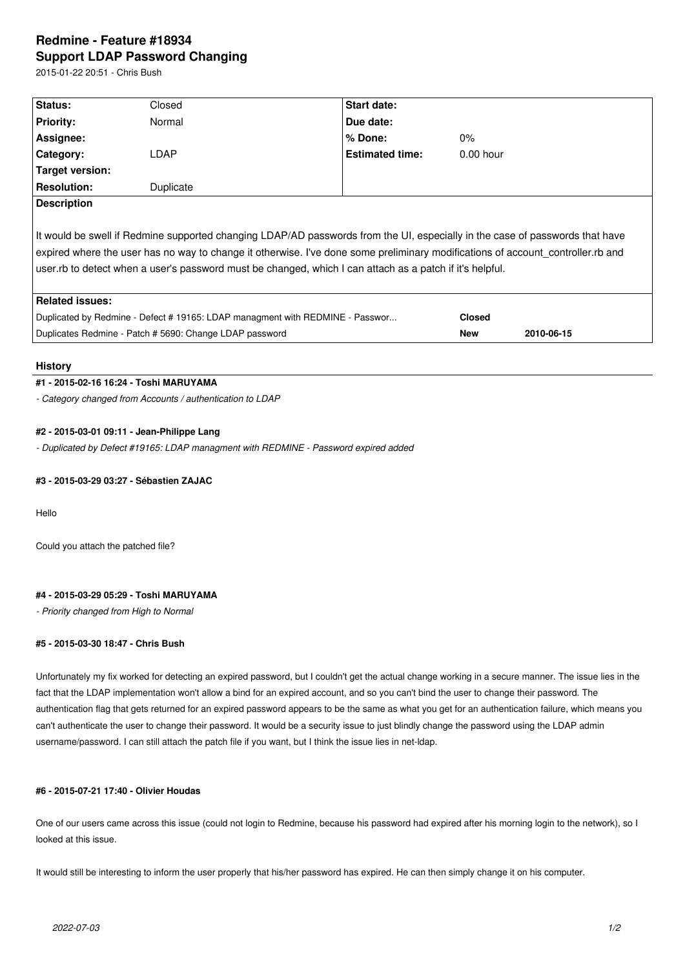# **Redmine - Feature #18934 Support LDAP Password Changing**

2015-01-22 20:51 - Chris Bush

| Status:                                                                                                                                                                                                                                                                                                                                                                  | Closed    | Start date:            |               |            |
|--------------------------------------------------------------------------------------------------------------------------------------------------------------------------------------------------------------------------------------------------------------------------------------------------------------------------------------------------------------------------|-----------|------------------------|---------------|------------|
|                                                                                                                                                                                                                                                                                                                                                                          |           |                        |               |            |
| <b>Priority:</b>                                                                                                                                                                                                                                                                                                                                                         | Normal    | Due date:              |               |            |
| Assignee:                                                                                                                                                                                                                                                                                                                                                                |           | % Done:                | $0\%$         |            |
| Category:                                                                                                                                                                                                                                                                                                                                                                | LDAP      | <b>Estimated time:</b> | $0.00$ hour   |            |
| <b>Target version:</b>                                                                                                                                                                                                                                                                                                                                                   |           |                        |               |            |
| <b>Resolution:</b>                                                                                                                                                                                                                                                                                                                                                       | Duplicate |                        |               |            |
| <b>Description</b>                                                                                                                                                                                                                                                                                                                                                       |           |                        |               |            |
| It would be swell if Redmine supported changing LDAP/AD passwords from the UI, especially in the case of passwords that have<br>expired where the user has no way to change it otherwise. I've done some preliminary modifications of account controller.rb and<br>user to detect when a user's password must be changed, which I can attach as a patch if it's helpful. |           |                        |               |            |
| <b>Related issues:</b>                                                                                                                                                                                                                                                                                                                                                   |           |                        |               |            |
| Duplicated by Redmine - Defect #19165: LDAP managment with REDMINE - Passwor                                                                                                                                                                                                                                                                                             |           |                        | <b>Closed</b> |            |
| Duplicates Redmine - Patch # 5690: Change LDAP password                                                                                                                                                                                                                                                                                                                  |           |                        | <b>New</b>    | 2010-06-15 |

### **History**

#### **#1 - 2015-02-16 16:24 - Toshi MARUYAMA**

*- Category changed from Accounts / authentication to LDAP*

#### **#2 - 2015-03-01 09:11 - Jean-Philippe Lang**

*- Duplicated by Defect #19165: LDAP managment with REDMINE - Password expired added*

## **#3 - 2015-03-29 03:27 - Sébastien ZAJAC**

Hello

Could you attach the patched file?

#### **#4 - 2015-03-29 05:29 - Toshi MARUYAMA**

*- Priority changed from High to Normal*

#### **#5 - 2015-03-30 18:47 - Chris Bush**

Unfortunately my fix worked for detecting an expired password, but I couldn't get the actual change working in a secure manner. The issue lies in the fact that the LDAP implementation won't allow a bind for an expired account, and so you can't bind the user to change their password. The authentication flag that gets returned for an expired password appears to be the same as what you get for an authentication failure, which means you can't authenticate the user to change their password. It would be a security issue to just blindly change the password using the LDAP admin username/password. I can still attach the patch file if you want, but I think the issue lies in net-ldap.

# **#6 - 2015-07-21 17:40 - Olivier Houdas**

One of our users came across this issue (could not login to Redmine, because his password had expired after his morning login to the network), so I looked at this issue.

It would still be interesting to inform the user properly that his/her password has expired. He can then simply change it on his computer.